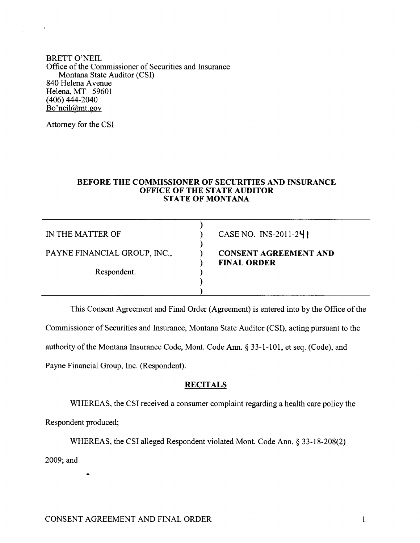BRETT O'NEIL Office of the Commissioner of Securities and Insurance Montana State Auditor (CSI) 840 Helena Avenue Helena, MT <sup>59601</sup> (406) 444-2040 Bo'neil@mt.gov

Attorney for the CSI

#### BEFORE THE COMMISSIONER OF SECURITIES AND INSURANCE OFFICE OF TIIE STATE AUDITOR STATE OF MONTANA

IN THE MATTER OF ) ) PAYNE FINANCIAL GROUP, INC., CONSENT AGREEMENT AND Respondent. )

) CASE NO. INS-2011-24

# ) FINAL ORDER

This Consent Agreement and Final Order (Agreement) is entered into by the Office of the

Commissioner of Securities and Insurance, Montana State Auditor (CSI), acting pursuant to the

) )

authority of the Montana Insurance Code, Mont. Code Ann. \$ 33-l-101, et seq. (Code), and

Payne Financial Group, Inc. (Respondent).

## **RECITALS**

WHEREAS, the CSI received a consumer complaint regarding a health care policy the

Respondent produced;

WHEREAS, the CSI alleged Respondent violated Mont. Code Ann. \$ 33-18-208(2)

2009; and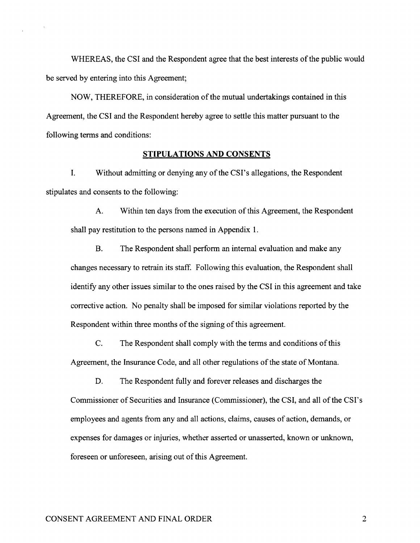WHEREAS, the CSI and the Respondent agree that the best interests of the public would be served by entering into this Agreement;

NOW, THEREFORE, in consideration of the mutual undertakings contained in this Agreement, the CSI and the Respondent hereby agree to settle this matter pursuant to the following terms and conditions:

#### STIPULATIONS AND CONSENTS

I. Without admitting or denying any of the CSI's allegations, the Respondent stipulates and consents to the following:

A. Within ten days from the execution of this Agreement, the Respondent shall pay restitution to the persons named in Appendix 1.

B. The Respondent shall perform an intemal evaluation and make any changes necessary to retrain its staff. Following this evaluation, the Respondent shall identify any other issues similar to the ones raised by the CSI in this agreement and take corrective action. No penalty shall be imposed for similar violations reported by the Respondent within three months of the signing of this agreement.

C. The Respondent shall comply with the terms and conditions of this Agreement, the Insurance Code, and all other regulations of the state of Montana.

D. The Respondent fully and forever releases and discharges the Commissioner of Securities and Insurance (Commissioner), the CSI, and all of the CSI's employees and agents from any and all actions, claims, causes of action, demands, or expenses for damages or injuries, whether asserted or unasserted, known or unknown, foreseen or unforeseen, arising out of this Agreement.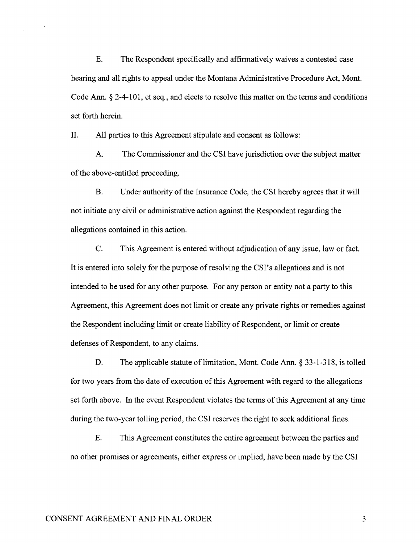E. The Respondent specifically and affirmatively waives a contested case hearing and all rights to appeal under the Montana Administrative Procedure Act, Mont. Code Ann.  $\S 2-4-101$ , et seq., and elects to resolve this matter on the terms and conditions set forth herein.

II. All parties to this Agreement stipulate and consent as follows:

A. The Commissioner and the CSI have jurisdiction over the subject matter of the above-entitled proceeding.

B. Under authority of the lnsurance Code, the CSI hereby agrees that it will not initiate any civil or administrative action against the Respondent regarding the allegations contained in this action.

C. This Agreement is entered without adjudication of any issue, law or fact. It is entered into solely for the purpose of resolving the CSI's allegations and is not intended to be used for any other purpose. For any person or entity not a party to this Agreement, this Agreement does not limit or create any private rights or remedies against the Respondent including limit or create liability of Respondent, or limit or create defenses of Respondent, to any claims.

D. The applicable statute of limitation, Mont. Code Ann. § 33-1-318, is tolled for two years from the date of execution of this Agreernent with regard to the allegations set forth above. In the event Respondent violates the terms of this Agreement at any time during the two-year tolling period, the CSI reserves the right to seek additional fines.

E. This Agreement constitutes the entire agreement between the parties and no other promises or agreements, either express or implied, have been made by the CSI

### CONSENT AGREEMENT AND FINAL ORDER

 $\overline{3}$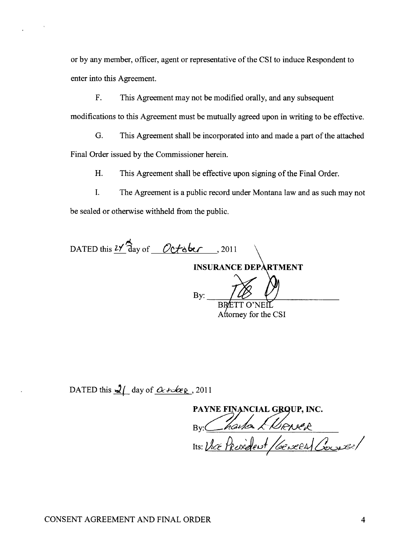or by any member, officer, agent or representative of the CSI to induce Respondent to enter into this Agreement.

F. This Agreement may not be modified orally, and any subsequent modifications to this Agreement must be mutually agreed upon in writing to be effective.

G. This Agreement shall be incorporated into and made a part of the attached

Final Order issued by the Commissioner herein.

H. This Agreement shall be effective upon signing of the Final Order.

I. The Agreement is a public record under Montana law and as such may not be sealed or otherwise withheld from the public.

DATED this  $2\sqrt{3}$  day of

INSURANCE DEPARTMENT

By:  $\frac{7}{8}$ BRETT O'NEI Attorney for the CSI

DATED this  $\frac{1}{2}$  day of  $\frac{X}{\sqrt{2}}$ , 2011

PAYNE FINANCIAL G<mark>BQ</mark>UP, INC. By: Charles Merser Its: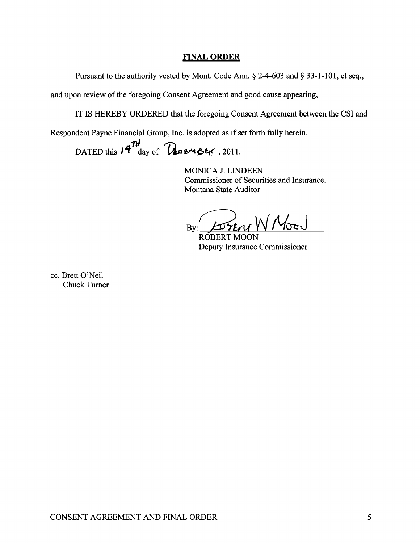## **FINAL ORDER**

Pursuant to the authority vested by Mont. Code Ann. § 2-4-603 and § 33-1-101, et seq.,

and upon review of the foregoing Consent Agreement and good cause appearing,

IT IS HEREBY ORDERED that the foregoing Consent Agreement between the CSI and

Respondent Payne Financial Group, Inc. is adopted as if set forth fully herein.

DATED this  $14^{\frac{1}{10}}$  day of **Resuser**, 2011.

MONICA J. LINDEEN Commissioner of Securities and Insurance, Montana State Auditor

SENT W Noon  $Bv:$ 

**ROBERT MOON** Deputy Insurance Commissioner

cc. Brett O'Neil **Chuck Turner**